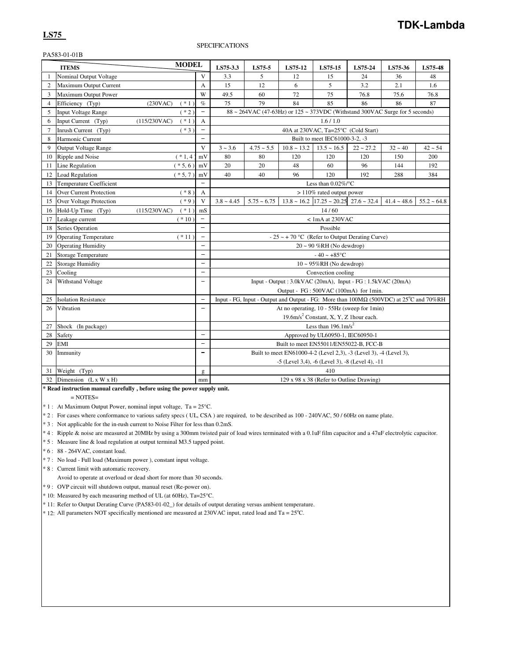## PA583-01-01B

|                | <b>ITEMS</b>                        | <b>MODEL</b> |                          | LS75-3.3        | LS75-5                                                                                                 | LS75-12                                                            | LS75-15                                              | LS75-24     | LS75-36       | LS75-48          |
|----------------|-------------------------------------|--------------|--------------------------|-----------------|--------------------------------------------------------------------------------------------------------|--------------------------------------------------------------------|------------------------------------------------------|-------------|---------------|------------------|
| 1              | Nominal Output Voltage              |              | V                        | 3.3             | 5                                                                                                      | 12                                                                 | 15                                                   | 24          | 36            | 48               |
| $\overline{2}$ | Maximum Output Current              |              | A                        | 15              | 12                                                                                                     | 6                                                                  | 5                                                    | 3.2         | 2.1           | 1.6              |
| 3              | Maximum Output Power                |              | W                        | 49.5            | 60                                                                                                     | 72                                                                 | 75                                                   | 76.8        | 75.6          | 76.8             |
| $\overline{4}$ | Efficiency (Typ)<br>(230VAC)        | $(* 1)$      | $\%$                     | 75              | 79                                                                                                     | 84                                                                 | 85                                                   | 86          | 86            | 87               |
| 5              | <b>Input Voltage Range</b>          | $(* 2)$      | $\qquad \qquad -$        |                 | $88 \sim 264 \text{VAC}$ (47-63Hz) or $125 \sim 373 \text{VDC}$ (Withstand 300VAC Surge for 5 seconds) |                                                                    |                                                      |             |               |                  |
| 6              | Input Current (Typ)<br>(115/230VAC) | $(* 1)$      | A                        |                 |                                                                                                        |                                                                    | 1.6/1.0                                              |             |               |                  |
| $\overline{7}$ | Inrush Current (Typ)                | $(*3)$       | $\overline{\phantom{0}}$ |                 |                                                                                                        |                                                                    | 40A at 230VAC, Ta=25°C (Cold Start)                  |             |               |                  |
| 8              | Harmonic Current                    |              | $\overline{\phantom{0}}$ |                 |                                                                                                        |                                                                    | Built to meet IEC61000-3-2, -3                       |             |               |                  |
| 9              | <b>Output Voltage Range</b>         |              | V                        | $3 - 3.6$       | $4.75 - 5.5$                                                                                           | $10.8 - 13.2$                                                      | $13.5 \sim 16.5$                                     | $22 - 27.2$ | $32 - 40$     | $42 - 54$        |
| 10             | Ripple and Noise                    | $(* 1, 4)$   | mV                       | 80              | 80                                                                                                     | 120                                                                | 120                                                  | 120         | 150           | 200              |
| 11             | Line Regulation                     | $(* 5, 6)$   | mV                       | 20              | 20                                                                                                     | 48                                                                 | 60                                                   | 96          | 144           | 192              |
| 12             | <b>Load Regulation</b>              | $(* 5, 7)$   | mV                       | 40              | 40                                                                                                     | 96                                                                 | 120                                                  | 192         | 288           | 384              |
| 13             | <b>Temperature Coefficient</b>      |              |                          |                 |                                                                                                        |                                                                    | Less than $0.02\%$ /°C                               |             |               |                  |
| 14             | Over Current Protection             | $(* 8)$      | A                        |                 |                                                                                                        |                                                                    | $>110\%$ rated output power                          |             |               |                  |
| 15             | <b>Over Voltage Protection</b>      | $(*9)$       | V                        | $3.8 \sim 4.45$ | $5.75 - 6.75$                                                                                          |                                                                    | $13.8 \sim 16.2$ $17.25 \sim 20.25$ $27.6 \sim 32.4$ |             | $41.4 - 48.6$ | $55.2 \div 64.8$ |
| 16             | Hold-Up Time (Typ)<br>(115/230VAC)  | $(* 1)$      | mS                       |                 |                                                                                                        |                                                                    | 14/60                                                |             |               |                  |
| 17             | Leakage current                     | $(* 10)$     |                          |                 |                                                                                                        |                                                                    | $< 1$ mA at 230VAC                                   |             |               |                  |
| 18             | Series Operation                    |              | $\overline{\phantom{0}}$ |                 |                                                                                                        |                                                                    | Possible                                             |             |               |                  |
| 19             | <b>Operating Temperature</b>        | $(* 11)$     | $\overline{\phantom{0}}$ |                 |                                                                                                        | - 25 ~ + 70 °C (Refer to Output Derating Curve)                    |                                                      |             |               |                  |
| 20             | <b>Operating Humidity</b>           |              |                          |                 |                                                                                                        |                                                                    | $20 \sim 90$ %RH (No dewdrop)                        |             |               |                  |
| 21             | <b>Storage Temperature</b>          |              | $\overline{\phantom{0}}$ |                 |                                                                                                        |                                                                    | $-40 - +85$ °C                                       |             |               |                  |
| 22             | <b>Storage Humidity</b>             |              | $\overline{\phantom{0}}$ |                 |                                                                                                        |                                                                    | $10 \sim 95\% RH$ (No dewdrop)                       |             |               |                  |
| 23             | Cooling                             |              | $\overline{\phantom{0}}$ |                 |                                                                                                        |                                                                    | Convection cooling                                   |             |               |                  |
| 24             | Withstand Voltage                   |              | $\overline{\phantom{0}}$ |                 |                                                                                                        | Input - Output : 3.0kVAC (20mA), Input - FG : 1.5kVAC (20mA)       |                                                      |             |               |                  |
|                |                                     |              |                          |                 |                                                                                                        | Output - FG: 500VAC (100mA) for 1min.                              |                                                      |             |               |                  |
| 25             | <b>Isolation Resistance</b>         |              | $\overline{\phantom{a}}$ |                 | Input - FG, Input - Output and Output - FG: More than 100MΩ (500VDC) at 25°C and 70%RH                 |                                                                    |                                                      |             |               |                  |
| 26             | Vibration                           |              | $\overline{\phantom{0}}$ |                 |                                                                                                        | At no operating, 10 - 55Hz (sweep for 1min)                        |                                                      |             |               |                  |
|                |                                     |              |                          |                 |                                                                                                        |                                                                    | 19.6m/s <sup>2</sup> Constant, X, Y, Z 1hour each.   |             |               |                  |
| 27             | Shock (In package)                  |              |                          |                 |                                                                                                        |                                                                    | Less than $196.1 \text{m/s}^2$                       |             |               |                  |
| 28             | Safety                              |              | $\qquad \qquad -$        |                 |                                                                                                        |                                                                    | Approved by UL60950-1, IEC60950-1                    |             |               |                  |
| 29             | <b>EMI</b>                          |              | $\qquad \qquad -$        |                 |                                                                                                        | Built to meet EN55011/EN55022-B, FCC-B                             |                                                      |             |               |                  |
| 30             | Immunity                            |              | $\overline{\phantom{0}}$ |                 |                                                                                                        | Built to meet EN61000-4-2 (Level 2,3), -3 (Level 3), -4 (Level 3), |                                                      |             |               |                  |
|                |                                     |              |                          |                 |                                                                                                        | -5 (Level 3,4), -6 (Level 3), -8 (Level 4), -11                    |                                                      |             |               |                  |
| 31             | Weight (Typ)                        |              | g                        |                 |                                                                                                        |                                                                    | 410                                                  |             |               |                  |
| 32             | Dimension $(L \times W \times H)$   |              | mm                       |                 |                                                                                                        |                                                                    | 129 x 98 x 38 (Refer to Outline Drawing)             |             |               |                  |

**\* Read instruction manual carefully , before using the power supply unit.**

 $=$  NOTES $=$ 

\* 1 : At Maximum Output Power, nominal input voltage, Ta = 25°C.

\* 2 : For cases where conformance to various safety specs ( UL, CSA ) are required, to be described as 100 - 240VAC, 50 / 60Hz on name plate.

\* 3 : Not applicable for the in-rush current to Noise Filter for less than 0.2mS.

\* 4 : Ripple & noise are measured at 20MHz by using a 300mm twisted pair of load wires terminated with a 0.1uF film capacitor and a 47uF electrolytic capacitor.

\* 5 : Measure line & load regulation at output terminal M3.5 tapped point.

\* 6 : 88 - 264VAC, constant load.

\* 7 : No load - Full load (Maximum power ), constant input voltage.

\* 8 : Current limit with automatic recovery.

Avoid to operate at overload or dead short for more than 30 seconds.

\* 9 : OVP circuit will shutdown output, manual reset (Re-power on).

\* 10: Measured by each measuring method of UL (at 60Hz), Ta=25°C.

\* 11: Refer to Output Derating Curve (PA583-01-02\_) for details of output derating versus ambient temperature.

 $*$  12: All parameters NOT specifically mentioned are measured at 230VAC input, rated load and Ta =  $25^{\circ}$ C.